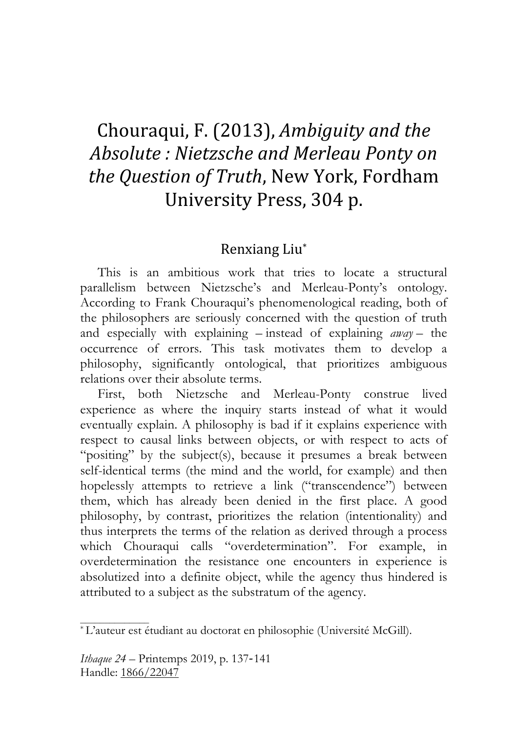## Chouraqui,
F.
(2013), *Ambiguity
and
the Absolute :
Nietzsche
and
Merleau
Ponty
on the
Question
of
Truth*,
New
York,
Fordham University
Press,
304
p.

## Renxiang
Liu\*

This is an ambitious work that tries to locate a structural parallelism between Nietzsche's and Merleau-Ponty's ontology. According to Frank Chouraqui's phenomenological reading, both of the philosophers are seriously concerned with the question of truth and especially with explaining – instead of explaining *away* – the occurrence of errors. This task motivates them to develop a philosophy, significantly ontological, that prioritizes ambiguous relations over their absolute terms.

First, both Nietzsche and Merleau-Ponty construe lived experience as where the inquiry starts instead of what it would eventually explain. A philosophy is bad if it explains experience with respect to causal links between objects, or with respect to acts of "positing" by the subject(s), because it presumes a break between self-identical terms (the mind and the world, for example) and then hopelessly attempts to retrieve a link ("transcendence") between them, which has already been denied in the first place. A good philosophy, by contrast, prioritizes the relation (intentionality) and thus interprets the terms of the relation as derived through a process which Chouraqui calls "overdetermination". For example, in overdetermination the resistance one encounters in experience is absolutized into a definite object, while the agency thus hindered is attributed to a subject as the substratum of the agency.

<sup>\*</sup> L'auteur est étudiant au doctorat en philosophie (Université McGill).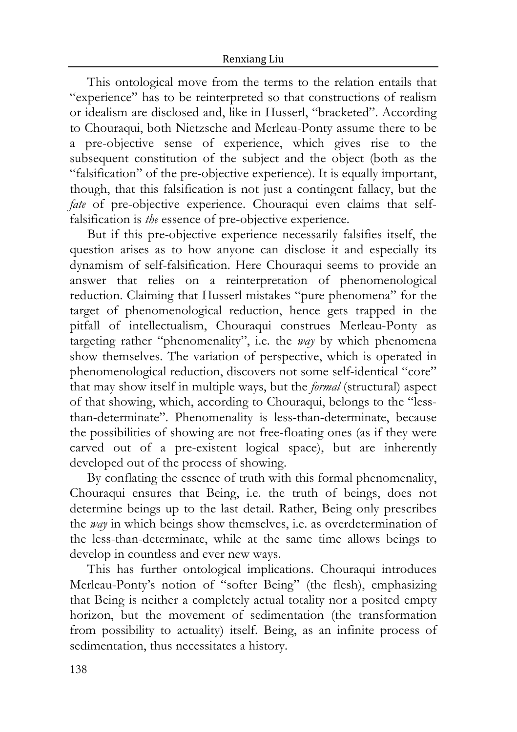This ontological move from the terms to the relation entails that "experience" has to be reinterpreted so that constructions of realism or idealism are disclosed and, like in Husserl, "bracketed". According to Chouraqui, both Nietzsche and Merleau-Ponty assume there to be a pre-objective sense of experience, which gives rise to the subsequent constitution of the subject and the object (both as the "falsification" of the pre-objective experience). It is equally important, though, that this falsification is not just a contingent fallacy, but the *fate* of pre-objective experience. Chouraqui even claims that selffalsification is *the* essence of pre-objective experience.

But if this pre-objective experience necessarily falsifies itself, the question arises as to how anyone can disclose it and especially its dynamism of self-falsification. Here Chouraqui seems to provide an answer that relies on a reinterpretation of phenomenological reduction. Claiming that Husserl mistakes "pure phenomena" for the target of phenomenological reduction, hence gets trapped in the pitfall of intellectualism, Chouraqui construes Merleau-Ponty as targeting rather "phenomenality", i.e. the *way* by which phenomena show themselves. The variation of perspective, which is operated in phenomenological reduction, discovers not some self-identical "core" that may show itself in multiple ways, but the *formal* (structural) aspect of that showing, which, according to Chouraqui, belongs to the "lessthan-determinate". Phenomenality is less-than-determinate, because the possibilities of showing are not free-floating ones (as if they were carved out of a pre-existent logical space), but are inherently developed out of the process of showing.

By conflating the essence of truth with this formal phenomenality, Chouraqui ensures that Being, i.e. the truth of beings, does not determine beings up to the last detail. Rather, Being only prescribes the *way* in which beings show themselves, i.e. as overdetermination of the less-than-determinate, while at the same time allows beings to develop in countless and ever new ways.

This has further ontological implications. Chouraqui introduces Merleau-Ponty's notion of "softer Being" (the flesh), emphasizing that Being is neither a completely actual totality nor a posited empty horizon, but the movement of sedimentation (the transformation from possibility to actuality) itself. Being, as an infinite process of sedimentation, thus necessitates a history.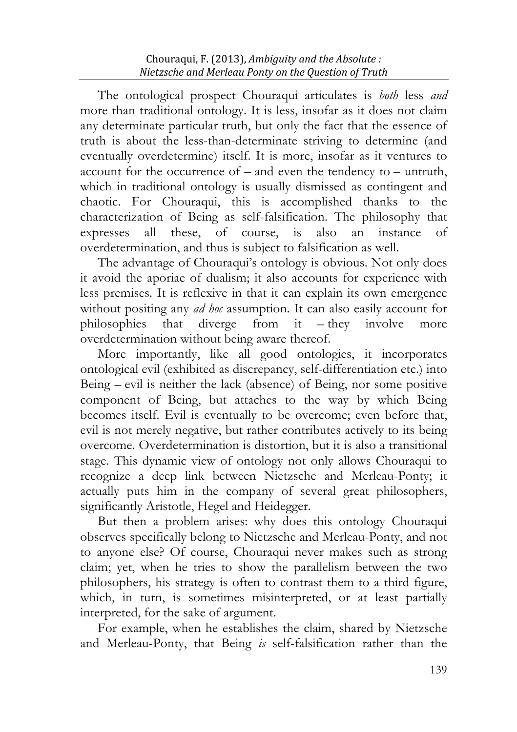The ontological prospect Chouraqui articulates is *both* less *and* more than traditional ontology. It is less, insofar as it does not claim any determinate particular truth, but only the fact that the essence of truth is about the less-than-determinate striving to determine (and eventually overdetermine) itself. It is more, insofar as it ventures to account for the occurrence of – and even the tendency to – untruth, which in traditional ontology is usually dismissed as contingent and chaotic. For Chouraqui, this is accomplished thanks to the characterization of Being as self-falsification. The philosophy that expresses all these, of course, is also an instance of overdetermination, and thus is subject to falsification as well.

The advantage of Chouraqui's ontology is obvious. Not only does it avoid the aporiae of dualism; it also accounts for experience with less premises. It is reflexive in that it can explain its own emergence without positing any *ad hoc* assumption. It can also easily account for philosophies that diverge from it – they involve more overdetermination without being aware thereof.

More importantly, like all good ontologies, it incorporates ontological evil (exhibited as discrepancy, self-differentiation etc.) into Being – evil is neither the lack (absence) of Being, nor some positive component of Being, but attaches to the way by which Being becomes itself. Evil is eventually to be overcome; even before that, evil is not merely negative, but rather contributes actively to its being overcome. Overdetermination is distortion, but it is also a transitional stage. This dynamic view of ontology not only allows Chouraqui to recognize a deep link between Nietzsche and Merleau-Ponty; it actually puts him in the company of several great philosophers, significantly Aristotle, Hegel and Heidegger.

But then a problem arises: why does this ontology Chouraqui observes specifically belong to Nietzsche and Merleau-Ponty, and not to anyone else? Of course, Chouraqui never makes such as strong claim; yet, when he tries to show the parallelism between the two philosophers, his strategy is often to contrast them to a third figure, which, in turn, is sometimes misinterpreted, or at least partially interpreted, for the sake of argument.

For example, when he establishes the claim, shared by Nietzsche and Merleau-Ponty, that Being *is* self-falsification rather than the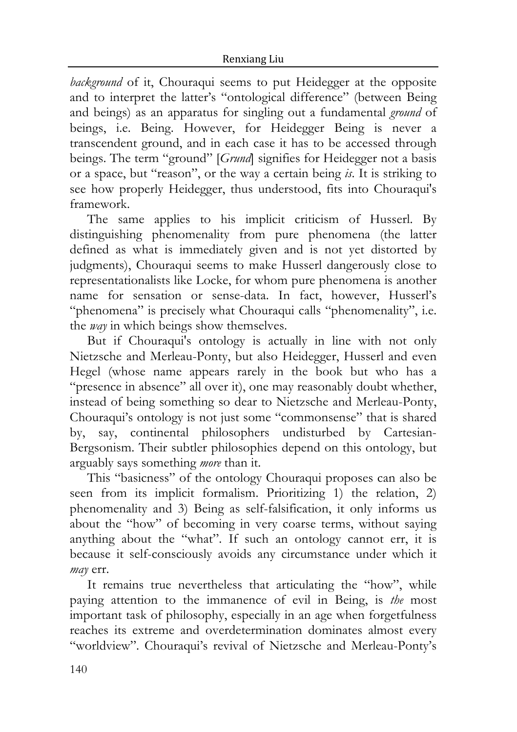*background* of it, Chouraqui seems to put Heidegger at the opposite and to interpret the latter's "ontological difference" (between Being and beings) as an apparatus for singling out a fundamental *ground* of beings, i.e. Being. However, for Heidegger Being is never a transcendent ground, and in each case it has to be accessed through beings. The term "ground" [*Grund*] signifies for Heidegger not a basis or a space, but "reason", or the way a certain being *is*. It is striking to see how properly Heidegger, thus understood, fits into Chouraqui's framework.

The same applies to his implicit criticism of Husserl. By distinguishing phenomenality from pure phenomena (the latter defined as what is immediately given and is not yet distorted by judgments), Chouraqui seems to make Husserl dangerously close to representationalists like Locke, for whom pure phenomena is another name for sensation or sense-data. In fact, however, Husserl's "phenomena" is precisely what Chouraqui calls "phenomenality", i.e. the *way* in which beings show themselves.

But if Chouraqui's ontology is actually in line with not only Nietzsche and Merleau-Ponty, but also Heidegger, Husserl and even Hegel (whose name appears rarely in the book but who has a "presence in absence" all over it), one may reasonably doubt whether, instead of being something so dear to Nietzsche and Merleau-Ponty, Chouraqui's ontology is not just some "commonsense" that is shared by, say, continental philosophers undisturbed by Cartesian-Bergsonism. Their subtler philosophies depend on this ontology, but arguably says something *more* than it.

This "basicness" of the ontology Chouraqui proposes can also be seen from its implicit formalism. Prioritizing 1) the relation, 2) phenomenality and 3) Being as self-falsification, it only informs us about the "how" of becoming in very coarse terms, without saying anything about the "what". If such an ontology cannot err, it is because it self-consciously avoids any circumstance under which it *may* err.

It remains true nevertheless that articulating the "how", while paying attention to the immanence of evil in Being, is *the* most important task of philosophy, especially in an age when forgetfulness reaches its extreme and overdetermination dominates almost every "worldview". Chouraqui's revival of Nietzsche and Merleau-Ponty's